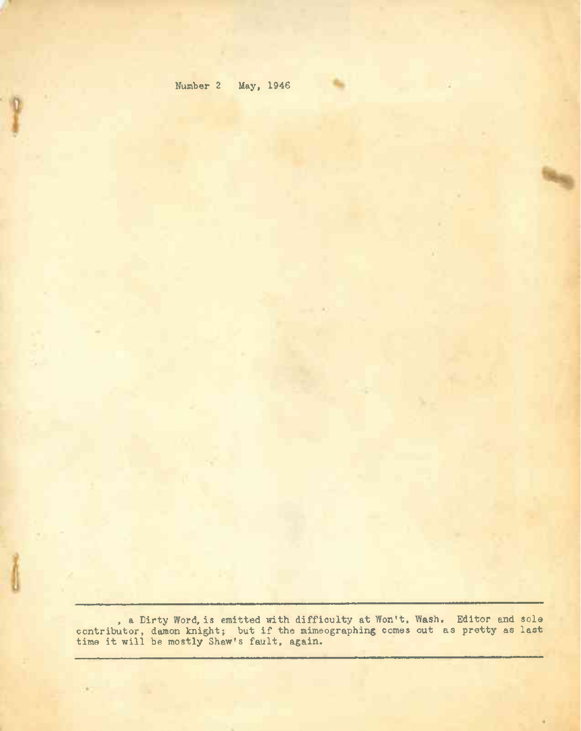| Number <sub>2</sub> |  | May, | 1946 |
|---------------------|--|------|------|
|---------------------|--|------|------|

s.

1987

, a Dirty Word, is emitted with difficulty at Won't, Wash. Editor and sole contributor, damon knight; but if the mimeographing comes out as pretty as last contributor, damon knight; but if the mime<br>time it will be mostly Shaw's fault, again.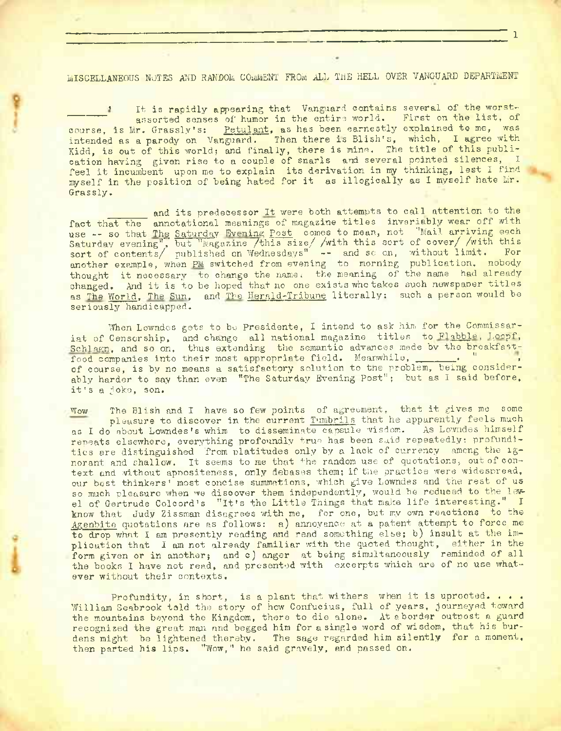MISCELLANEOUS NOTES AND RANDOM COMMENT FROM ALL THE HELL OVER VANGUARD DEPARTMENT

1

It is rapidly appearing that Vanguard contains several of the worstassorted senses of humor in the entire world. First on the list, of course, is Mr. Grassly's: Petulant, as has been earnestly explained to me, was intended as a parody on Vanguard. Then there is Blish's, which, I agree with Kidd, is out of this world; and finally, there is mine. The title of this publication having given rise to a couple of snarls and several pointed silences, I feel it incumbent upon me to explain its derivation in my thinking, lest <sup>I</sup> find myself in the position of being hated for it as illogically as I myself hate Mr. Grassly.

and its predecessor It were both attempts to call attention to the fact that the annotational meanings of magazine titles invariably wear off with use -- so that The Saturday Evening Post comes to mean, not "Mail arriving each Saturday evening", but "Magazine /this size/ /with this sort of cover/ /with this sort of contents/ published on Wednesdays" -- and sc on, without limit. For another example, when PM switched from evening to morning publication, nobody thought it necessary to change the name; the meaning of the name had already changed. And it is to be hoped that no one exists who takes such newspaper titles as The World, The Sun, and The Herald-Tribune literally: such a person would be seriously handicapped.

When Lowndes gets to be Presidente, I intend to ask him for the Commissariat of Censorship, and change all national magazine titles to Flabble, Loopf, Schlagn, and so on, thus extending the semantic advances made by the breakfastfood companies into their most appropriate field. Meanwhile, of course, is by no means a satisfactory solution to the problem, being considerably harder to say than even "The Saturday Evening Post"; but as I said before, it's <sup>a</sup> joke, son.

Wow The Blish and I have so few points of agreement, that it gives me some pleasure to discover in the current Tumbrils that he apparently feels much as I do about Lowndes's whim to disseminate capsule visdom. As Lowndes himself repeats elsewhere, everything profoundly true has been said repeatedly; profundities are distinguished from platitudes only by a lack of currency among the ignorant and shallow. It seems to me that the random use of quotations, out of context and without apnositeness, only debases them; if the practice were widespread, our best thinkers' most concise summetions, which give Lowndes and the rest of us so much pleasure when we discover them independently, would be reduced to the level of Gertrude Colcord's "It's the Little Things that make life interesting." I know that Judy Zissman disagrees with me, for one, but my own reactions to the Agenbite quotations are as follows: a) annoyance at a patent attempt to force me to drop what I am presently reading and read something else; b) insult at the implication that I am not already familiar with the quoted thought, either in the form given or in another; and c) anger at being simultaneously reminded of all the books I have not read, and presented with excerpts which are of no use whatever without their contexts.

Profundity, in short, is a plant that withers when it is uprooted. . . . William Seabrook told the story of how Confucius, full of years, journeyed toward the mountains beyond the Kingdom, there to die alone. At a border outpost a guard recognized the great man and begged him for a single word of wisdom, that his burdens might be lightened thereby. The sage regarded him silently for a moment. then parted his lips. "Wow," he said gravely, and passed on.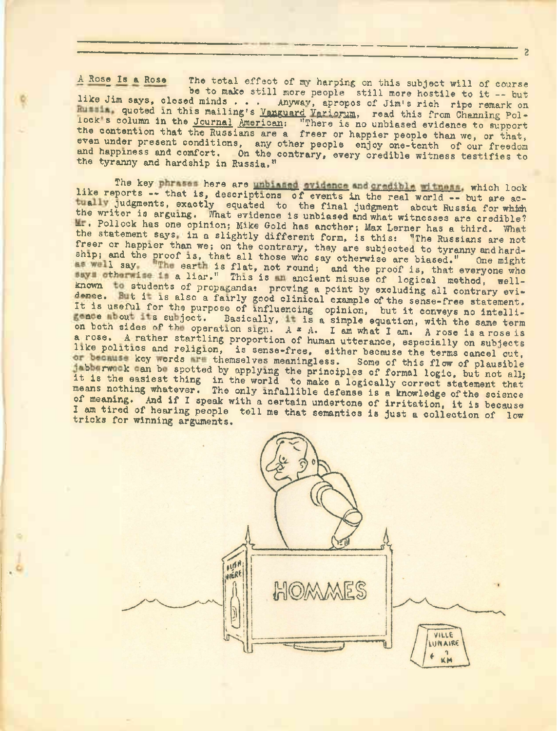A Rose Is a Rose The total effect of my harping on this subject will of course be to make still more people still more hostile to it -- but like Jim says, closed minds . . . Anyway, apropos of Jim's rich ripe remark on Rummin, quoted in this mailing's Yanguard Variorum, read this from Channing Pollock's column in the Journal American: "There is no unbiased evidence to support the contention that the Russians are a freer or happier people than we, or that, even under present conditions, any other people enjoy one-tenth of our freedom and happiness and comfort. On the contrary, every credible witness testifies to and happiness and comfort. On the contrary, every credible witness testifies to the tyranny and hardship in Russia."

the cyramiy and hardship in Russia."<br>The key phrases here are unbiased evidence and credible witness, which look<br>like reports -- that is, descriptions of events in the real world -- but are actually judgments, exactly equated to the final judgment about Russia for which the writer is arguing. What evidence is unbiased and what witnesses are credible? **17.** Pollock has one opinion; Mike Gold has another; Max Lerner has a third. What the statement says in a slightly different form, is this; "The Russians are not freer or happier than we; on the contrary, they are subjected to tyranny and hardship; and the proof is, that all those who say otherwise are biased." One might<br>I say in earth is flat, not round; and the proof is, that everyone who surth is flat, not round; and the proof is, that everyone who a liar." This is an encient misuse of logical method, wellsnip; and the proof is, that all those who say otherwise are biased." One might<br>as well say with earth is flat, not round; and the proof is, that everyone who<br>students a liar." This is mancient misuse of logical method, we dence. But it is also a fairly good clinical example of the sense-free statement. It is useful for the purpose of influencing opinion, but it conveys no intelli-<br>space thout its subject. Basically, it is a simple equation, with the some term gence about its subject. Basically, it is a simple equation, with the same term on both sides of the operation sign.  $A = A$ . I am what I am. A rose is a rose is a rose. <sup>A</sup> rather startling proportion of human utterance, especially on subjects like politics and religion, is sense-free, either because the terms cancel out, key words in themselves meaningless. Some of this flow of plausible or because key words are themselves meaningless. Some of this flow of plausible jabbarwook can be spotted by applying the principles of formal logic, but not all; is the easiest thing in the world to make a logically correct statement that means nothing whatever. The only infallible defense is a knowledge of the science nound nothing whatever. The only infailible defense is a knowledge of the science<br>of meaning. And if I speak with a certain undertone of irritation, it is because I am tired of hearing people tell me that semantics is just a collection of low<br>tricks for winning arguments tricks for winning arguments.



*2*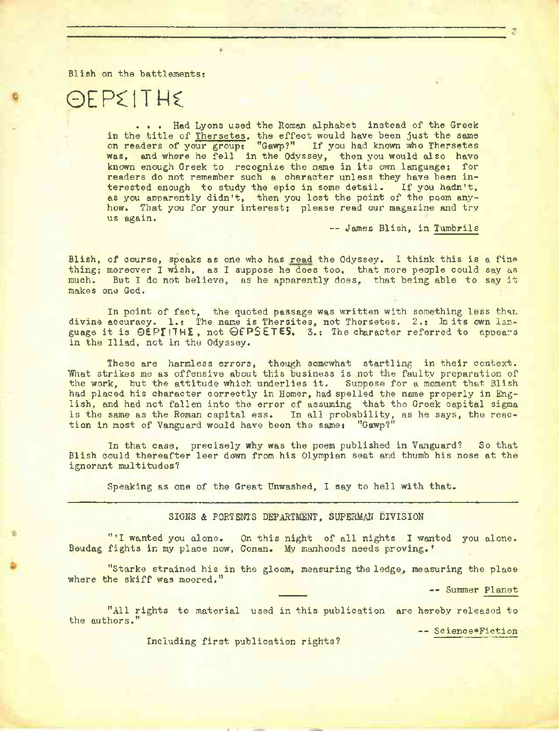Blish on the battlements:

# OEPCITME

. . . Had Lyons used the Roman alphabet instead of the Greek in the title of Thersetes, the effect would have been just the same on readers of your group: "Gawp?" If you had known who Thersetes was, and where he fell in the Odyssey, then you would also have known enough Greek to recognize the name in its own language; for readers do not remember such a character unless they have been interested enough to study the epic in some detail. If you hadn't, as you apparently didn't, then you lost the point of the poem anyhow. That you for your interest; please read our magazine and try us again.

— James Blish, in Tumbrils

Blish, of course, speaks as one who has read the Odyssey. I think this is a fine thing; moreover I wish, as I suppose he does too, that more people could say as much. But I do not believe, as he apparently does, that being able to say it makes one God.

In point of fact, the quoted passage was written with something less than. divine accuracy. 1.: The name is Thersites, not Thersetes. 2.: In its own language it is  $\Theta$ EPIHL, not  $\Theta$ EPSETES. 3.: The character referred to appears in the Iliad, not in the Odyssey.

These are harmless errors, though somewhat startling in their context. What strikes me as offensive about this business is not the faulty preparation of the work, but the attitude which underlies it. Suppose for <sup>a</sup> moment that Blish had placed his character correctly in Homer, had spelled the name properly in English, and had not fallen into the error of assuming that the Greek capital sigma is the same as the Roman capital ess. In all probability, as he says, the reaction in most of Vanguard would have been the same: "Gawp?"

In that case, precisely why was the poem published in Vanguard? So that Blish could thereafter leer down from his Olympian seat and thumb his nose at the ignorant multitudes?

Speaking as one of the Great Unwashed, I say to hell with that.

#### SIGNS & PORTENTS DEPARTMENT, SUPERMAN DIVISION

"'I wanted you alone. On this night of all nights I wanted you alone. Beudag fights in my place now, Gonan. My manhoods needs proving.'

"Starke strained his in the gloom, measuring the ledge, measuring the place where the skiff was moored."

-- Summer Planet

"All rights to material used in this publication are hereby released to the authors."

— Science\*Fiction

Including first publication rights?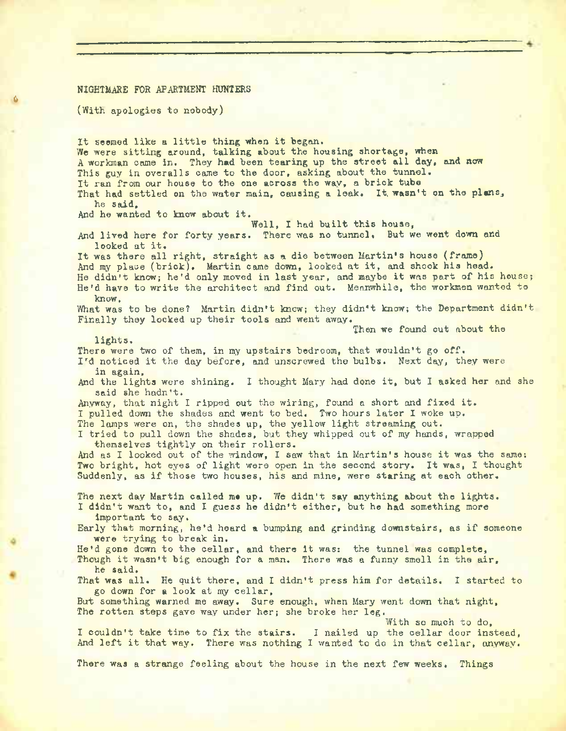#### NIGHTMARE FOR APARTMENT HUNTERS

(With apologies to nobody)

6

It seemed like <sup>a</sup> little thing when it began. We were sitting around, talking about the housing shortage, when A workman came in. They had been tearing up the street all day, and now This guy in overalls came to the door, asking about the tunnel. It ran from our house to the one across the way, <sup>a</sup> brick tube That had settled on the water main, causing a leak. It, wasn't on the plans, he said. And he wanted to know about it. Well, I had built this house, And lived here for forty years. There was no tunnel. But we went down and looked at it. It was there all right, straight as <sup>a</sup> die between Martin's house (frame) And my place (brick). Martin came down, looked at it, and shook his head. He didn't know; he'd only moved in last year, and maybe it was part of his house; He'd have to write the architect and find out. Meanwhile, the workmen wanted to know, What was to be done? Martin didn't know; they didn't know; the Department didn't Finally they locked up their tools and went away. Then we found out about the lights. There were two of them, in my upstairs bedroom, that wouldn't go off. I'd noticed it the day before, and unscrewed the bulbs. Next day, they were in again, And the lights were shining. <sup>I</sup> thought Mary had done it, but I asked her and she said she hadn't. Anyway, that night <sup>I</sup> ripped out the wiring, found <sup>a</sup> short and fixed it. I pulled down the shades and went to bed. Two hours later I woke up. The lamps were on, the shades up, the yellow light streaming out. I tried to pull down the shades, but they whipped out of my hands, wrapped themselves tightly on their rollers. And as <sup>I</sup> looked out of the window, <sup>I</sup> saw that in Martin's house it was the same: Two bright, hot eyes of light were open in the second story. It was, I thought Suddenly, as if those two houses, his and mine, were staring at each other. The next day Martin called me up. We didn't say anything about the lights. I didn't want to, and I guess he didn't either, but he had something more important to say. Early that morning, he'd heard <sup>a</sup> bumping and grinding downstairs, as if someone were trying to break in. He'd gone down to the cellar, and there it was: the tunnel was complete, Though it wasn't big enough for <sup>a</sup> man. There was <sup>a</sup> funny smell in the air, he said. That was all. He quit there, and I didn't press him for details. I started to go down for a look at my cellar, But something warned me away. Sure enough, when Mary went down that night, The rotten steps gave way under her; she broke her leg. With so much to do, <sup>I</sup> couldn't take time to fix the stairs. <sup>I</sup> nailed up the cellar door instead, And left it that way. There was nothing <sup>I</sup> wanted to do in that cellar, anyway.

There was a strange feeling about the house in the next few weeks. Things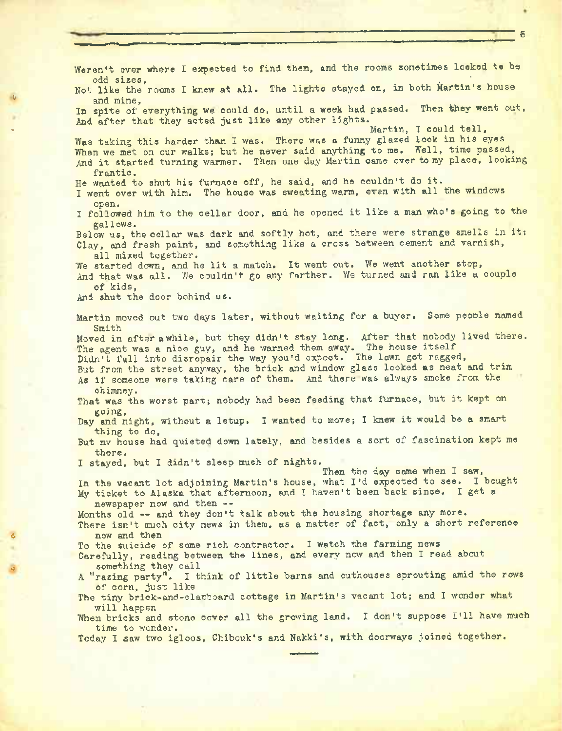Weren't ever where I expected to find them, and the rooms sometimes looked to be odd sizes. . . . odd sizes,<br>Not like the rooms I knew at all. The lights stayed on, in both Martin's house and mine, In spite of everything we could do, until a week had passed. Then they went out, And after that they acted just like any other lights.<br>Martin, I could tell, and after that they acted just like any other fights. Martin, I could tell, Was taking this harder than I was. There was a funny glazed look in his eyes When we met on our walks; but he never said anything to me. Well, time passed, And it started turning warmer. Then one day Martin came over to my place, looking frantic. He wanted to shut his furnace off, he said, and he couldn't do it. I went over with him. The house was sweating warm, even with all the windows open. I followed him to the cellar door, and he opened it like <sup>a</sup> man who's going to the gallows. Below us, the cellar was dark and softly hot, and there were strange smells in it: Clay, and fresh paint, and something like a cross between cement and varnish, all mixed together. We started down, and he lit a match. It went out. We went another step, And that was all. We couldn't go any farther. We turned and ran like a couple of kids, And shut the door behind us. Martin moved out two days later, without waiting for a buyer. Some people named Smith Moved in after awhile, but they didn't stay long. After that nobody lived there. moved in hiter awhile, but they didn't stay long. The house itself Didn't fall into disrepair the way you'd expect. The lawn got ragged, But from the street anyway, the brick and window glass looked as neat and trim As if someone were taking care of them. And there was always smoke from the chimney. That was the worst part; nobody had been feeding that furnace, but it kept on going, Day and night, without <sup>a</sup> letup. I wanted to move; <sup>I</sup> knew it would be <sup>a</sup> smart thing to do. But mv house had quieted down lately, and besides a sort of fascination kept me there. I stayed, but I didn't sleep much of nights. Then the day came when I saw, In the vacant lot adjoining Martin's house, what I'd expected to see. I bought My ticket to Alaska that afternoon, and I haven't been back since. I get <sup>a</sup> newspaper now and then -- Months old -- and they don't talk about the housing shortage any more. There isn't much city news in them, as a matter of fact, only a short reference now and then To the suicide of some rich contractor. I watch the farming news Carefully, reading between the lines, and every now and then I read about something they call A "razing party". I think of little barns and outhouses sprouting amid the rows of corn, just like The tiny brick-and-elabboard cottage in Martin's vacant lot; and I wonder what will happen When bricks and stone cover all the growing land. I don't suppose I'll have much time to wonder. Today I £aw two igloos, Chibouk's and Nakki's, with doorways joined together.

**6**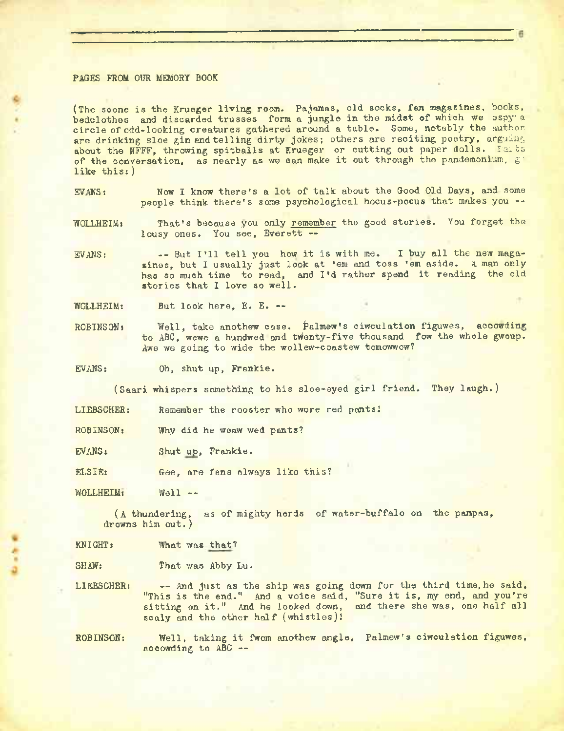### PAGES FROM OUR MEMORY BOOK

(The scene is the Krueger living room. Pajamas, old socks, fan magazines, books, bedclothes and discarded trusses form a jungle in the midst of which we espy' a circle of odd-looking creatures gathered around a table. Some, notably the author are drinking sloe gin and telling dirty jokes; others are reciting poetry, arguing about the NFFF, throwing spitballs at Krueger or cutting out paper dolls. Parts of the conversation, as nearly as we can make it out through the pandemonium,  $g^{\dagger}$ like this: )

EVANS: Now I know there's a lot of talk about the Good Old Days, and some people think there's some psychological hocus-pocus that makes you --

WOLLHEIM: That's because you only remember the good stories. You forget the lousy ones. You see, Everett --

EVANS: -- But I'll tell you how it is with me. <sup>I</sup> buy all the new magazines, but I usually just look at 'em and toss 'em aside. <sup>A</sup> man only has so much time to read, and I'd rather spend it reading the old stories that I love so well.

WOLLHEIM: But look here, E. E. —

ROBINSON: Well, take anothew case. Palmew's ciwculation figuwes, accowding to ABC, wewe a hundwed and tWenty-five thousand fow the whole gwoup. Awe we going to wide the wollew-coastew tomowwow?

EVANS: Oh, shut up, Frankie.

(Saari whispers something to his sloe-eyed girl friend. They laugh.)

LIEBSCHER: Remember the rooster who wore red pants!

- ROBINSON: Why did he weaw wed pants?
- EVANS: Shut up, Frankie.

ELSIE: Gee, are fans always like this?

WOLLHEIM: Well --

(A thundering, as of mighty herds of water-buffalo on the pampas, drowns him out.)

KNIGHT: What was that?

SHAW: That was Abby Lu.

LIEBSCHER: -- And just as the ship was going down for the third time, he said, "This is the end." And <sup>a</sup> voice said, "Sure it is, my end, and you're sitting on it." And he looked down, and there she was, one half all scaly and the other half (whistles)!

ROBINSON: Well, taking it fwom anothew angle, Palmew's ciwculation figuwes, accowding to ABC —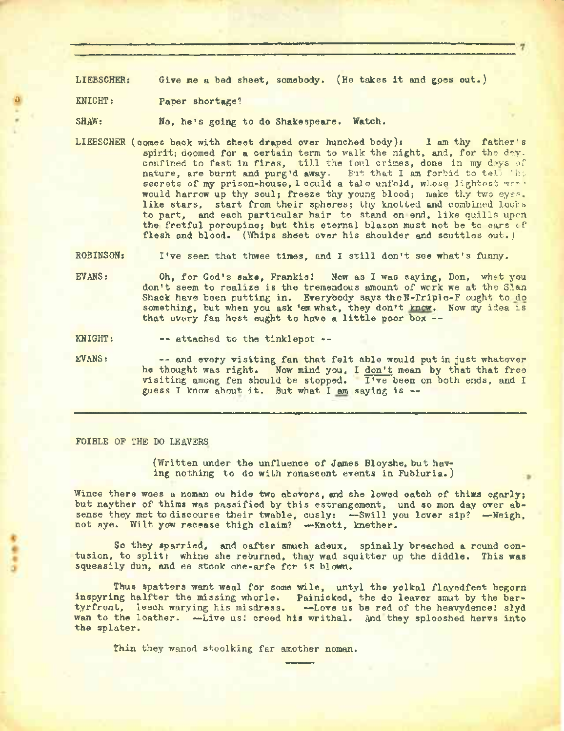LIEBSCHER: Give me a bed sheet, somebody. (He takes it and goes out.)

KNIGHT: Paper shortage?

SHAW: No, he's going to do Shakespeare. Watch.

LIEBSCHER (comes back with sheet draped over hunched body): I am thy father's spirit; doomed for a certain term to walk the night, and, for the day. confined to fast in fires, till the foul crimes, done in my days of nature, are burnt and purg'd away. But that I am forbid to tell '.he secrets of my prison-house, I could a tale unfold, whose lightest wor' would harrow up thy soul; freeze thy young blood; make thy two eyes, like stars, start from their spheres; thy knotted and combined locks to part, and each particular hair to stand on end, like quills upon the fretful porcupine; but this eternal blazon must not be to ears of flesh and blood. (Whips sheet over his shoulder and scuttles out.)

ROBINSON: I've seen that thwee times, and <sup>I</sup> still don't see what's funny.

- EVANS: Oh, for God's sake, Frankie! Now as I was saying, Don, whet you don't seem to realize is the tremendous amount of work we at the Sian Shack have been putting in. Everybody says the N-Triple-F ought to do something, but when you ask 'em what, they don't know. Now my idea is that every fan host ought to have a little poor box --
- KNIGHT: attached to the tinklepot --
- EVANS: and every visiting fan that felt able would put in just whatever he thought was right. Now mind you, I don't mean by that that free visiting among fen should be stopped. I've been on both ends, and I guess I know about it. But what I am saying is  $\rightarrow$

## FOIBLE OF THE DO LEAVERS

(Written under the unfluence of James Bloyshe, but having nothing to do with renascent events in Fubluria.)

Wince there woes a noman ou hide two abovers, and she lowed eatch of thims egarly; but nayther of thims was passified by this estrangement, und so mon day over absense they met to discourse their twable, cusly: -Swill you lover sip? -Neigh, not aye. Wilt yow recease thigh claim? —-Knoti, knether.

So they sparried, and oafter smuch adeux, spinally breached a round contusion, to split: whine she reburned, thay wad squitter up the diddle. This was squeasily dun, and ee stook one-arfe for is blown.

Thus spatters want weal for some wile, untyl the yolkal flayedfeet begorn inspyring halfter the missing whorle. Painicked, the do leaver smut by the bartyrfront, leech warying his misdress. - Love us be red of the heavydence! slyd wan to the loather. - Live us! creed his writhal. And they splooshed hervs into the splater.

Thin they waned stoolking far amother noman.